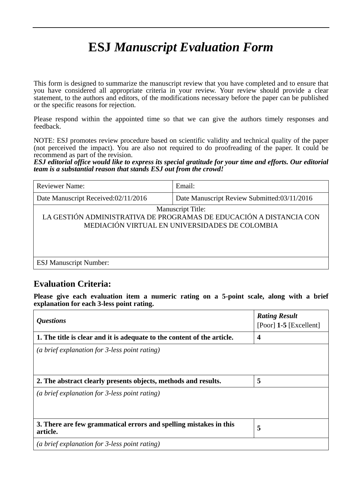# **ESJ** *Manuscript Evaluation Form*

This form is designed to summarize the manuscript review that you have completed and to ensure that you have considered all appropriate criteria in your review. Your review should provide a clear statement, to the authors and editors, of the modifications necessary before the paper can be published or the specific reasons for rejection.

Please respond within the appointed time so that we can give the authors timely responses and feedback.

NOTE: ESJ promotes review procedure based on scientific validity and technical quality of the paper (not perceived the impact). You are also not required to do proofreading of the paper. It could be recommend as part of the revision.

*ESJ editorial office would like to express its special gratitude for your time and efforts. Our editorial team is a substantial reason that stands ESJ out from the crowd!*

| <b>Reviewer Name:</b>                                                                                                                             | Email:                                      |
|---------------------------------------------------------------------------------------------------------------------------------------------------|---------------------------------------------|
| Date Manuscript Received:02/11/2016                                                                                                               | Date Manuscript Review Submitted:03/11/2016 |
| <b>Manuscript Title:</b><br>LA GESTIÓN ADMINISTRATIVA DE PROGRAMAS DE EDUCACIÓN A DISTANCIA CON<br>MEDIACIÓN VIRTUAL EN UNIVERSIDADES DE COLOMBIA |                                             |
| <b>ESJ Manuscript Number:</b>                                                                                                                     |                                             |

## **Evaluation Criteria:**

**Please give each evaluation item a numeric rating on a 5-point scale, along with a brief explanation for each 3-less point rating.**

| <i><b>Questions</b></i>                                                       | <b>Rating Result</b><br>[Poor] $1-5$ [Excellent] |
|-------------------------------------------------------------------------------|--------------------------------------------------|
| 1. The title is clear and it is adequate to the content of the article.       | $\overline{\mathbf{4}}$                          |
| (a brief explanation for 3-less point rating)                                 |                                                  |
| 2. The abstract clearly presents objects, methods and results.                | 5                                                |
| (a brief explanation for 3-less point rating)                                 |                                                  |
| 3. There are few grammatical errors and spelling mistakes in this<br>article. | 5                                                |
| (a brief explanation for $\beta$ -less point rating)                          |                                                  |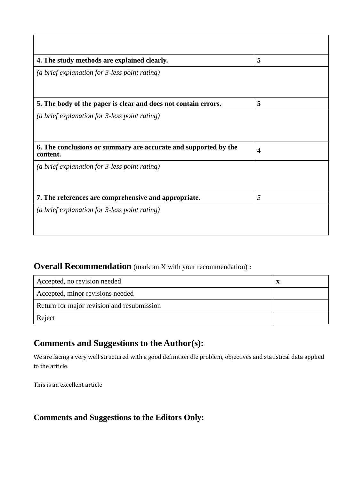| 4. The study methods are explained clearly.                                 | 5                |
|-----------------------------------------------------------------------------|------------------|
| (a brief explanation for 3-less point rating)                               |                  |
| 5. The body of the paper is clear and does not contain errors.              | 5                |
| (a brief explanation for 3-less point rating)                               |                  |
| 6. The conclusions or summary are accurate and supported by the<br>content. | $\boldsymbol{4}$ |
| (a brief explanation for 3-less point rating)                               |                  |
| 7. The references are comprehensive and appropriate.                        | 5                |
| (a brief explanation for 3-less point rating)                               |                  |

# **Overall Recommendation** (mark an X with your recommendation):

| Accepted, no revision needed               | X |
|--------------------------------------------|---|
| Accepted, minor revisions needed           |   |
| Return for major revision and resubmission |   |
| Reject                                     |   |

## **Comments and Suggestions to the Author(s):**

We are facing a very well structured with a good definition dle problem, objectives and statistical data applied to the article.

This is an excellent article

#### **Comments and Suggestions to the Editors Only:**